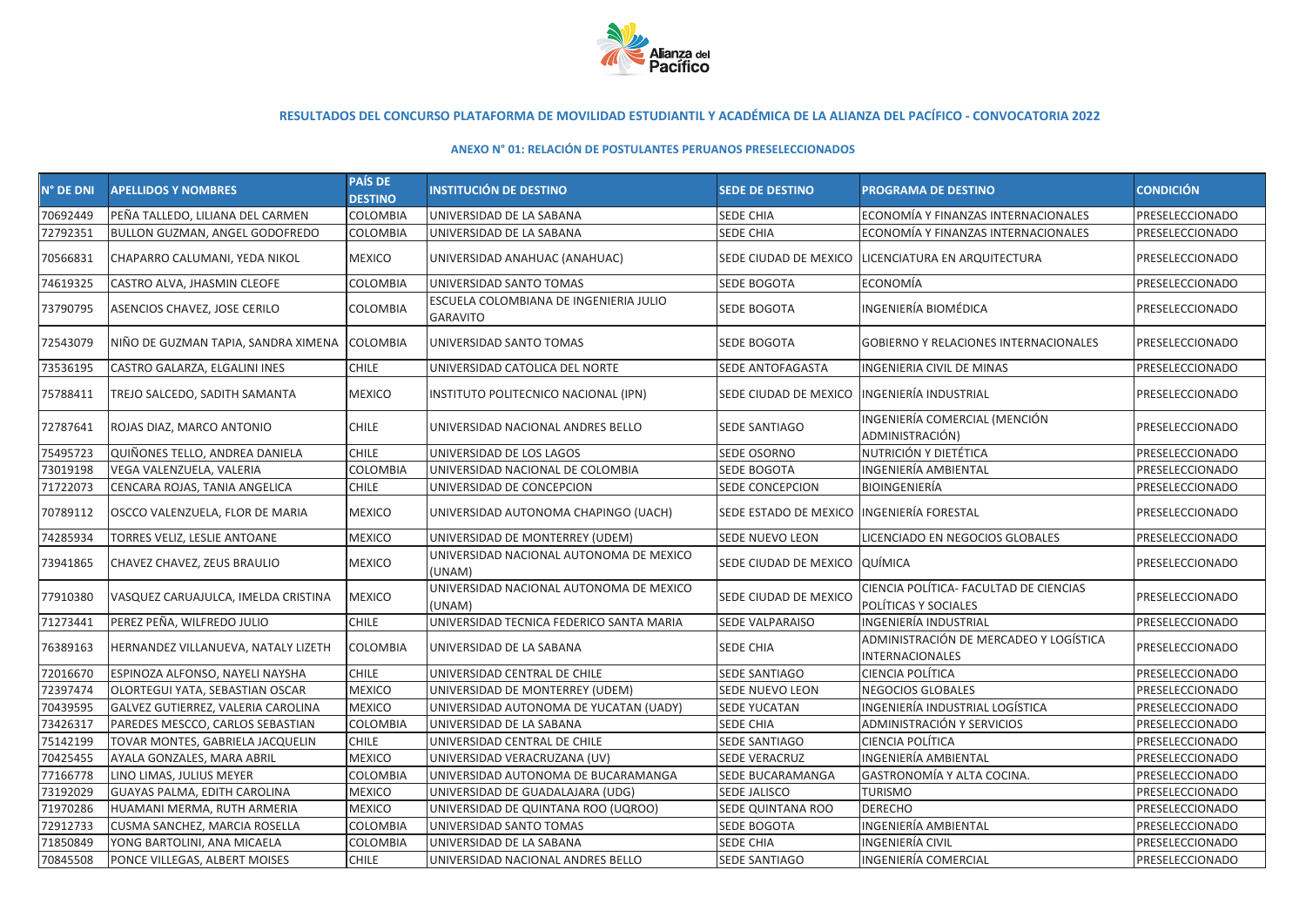

## **RESULTADOS DEL CONCURSO PLATAFORMA DE MOVILIDAD ESTUDIANTIL Y ACADÉMICA DE LA ALIANZA DEL PACÍFICO - CONVOCATORIA 2022**

## **ANEXO N° 01: RELACIÓN DE POSTULANTES PERUANOS PRESELECCIONADOS**

| N° DE DNI | <b>APELLIDOS Y NOMBRES</b>          | <b>PAÍS DE</b><br><b>DESTINO</b> | <b>INSTITUCIÓN DE DESTINO</b>                             | <b>SEDE DE DESTINO</b>        | <b>PROGRAMA DE DESTINO</b>                                       | <b>CONDICIÓN</b> |
|-----------|-------------------------------------|----------------------------------|-----------------------------------------------------------|-------------------------------|------------------------------------------------------------------|------------------|
| 70692449  | PEÑA TALLEDO, LILIANA DEL CARMEN    | COLOMBIA                         | UNIVERSIDAD DE LA SABANA                                  | SEDE CHIA                     | ECONOMÍA Y FINANZAS INTERNACIONALES                              | PRESELECCIONADO  |
| 72792351  | BULLON GUZMAN, ANGEL GODOFREDO      | COLOMBIA                         | UNIVERSIDAD DE LA SABANA                                  | SEDE CHIA                     | ECONOMÍA Y FINANZAS INTERNACIONALES                              | PRESELECCIONADO  |
| 70566831  | CHAPARRO CALUMANI, YEDA NIKOL       | MEXICO                           | UNIVERSIDAD ANAHUAC (ANAHUAC)                             | SEDE CIUDAD DE MEXICO         | LICENCIATURA EN ARQUITECTURA                                     | PRESELECCIONADO  |
| 74619325  | CASTRO ALVA, JHASMIN CLEOFE         | COLOMBIA                         | UNIVERSIDAD SANTO TOMAS                                   | <b>SEDE BOGOTA</b>            | <b>ECONOMÍA</b>                                                  | PRESELECCIONADO  |
| 73790795  | ASENCIOS CHAVEZ, JOSE CERILO        | COLOMBIA                         | ESCUELA COLOMBIANA DE INGENIERIA JULIO<br><b>GARAVITO</b> | SEDE BOGOTA                   | <b>INGENIERÍA BIOMÉDICA</b>                                      | PRESELECCIONADO  |
| 72543079  | NIÑO DE GUZMAN TAPIA, SANDRA XIMENA | COLOMBIA                         | UNIVERSIDAD SANTO TOMAS                                   | <b>SEDE BOGOTA</b>            | <b>GOBIERNO Y RELACIONES INTERNACIONALES</b>                     | PRESELECCIONADO  |
| 73536195  | CASTRO GALARZA, ELGALINI INES       | <b>CHILE</b>                     | UNIVERSIDAD CATOLICA DEL NORTE                            | SEDE ANTOFAGASTA              | <b>INGENIERIA CIVIL DE MINAS</b>                                 | PRESELECCIONADO  |
| 75788411  | TREJO SALCEDO, SADITH SAMANTA       | <b>MEXICO</b>                    | INSTITUTO POLITECNICO NACIONAL (IPN)                      | SEDE CIUDAD DE MEXICO         | INGENIERÍA INDUSTRIAL                                            | PRESELECCIONADO  |
| 72787641  | ROJAS DIAZ, MARCO ANTONIO           | <b>CHILE</b>                     | UNIVERSIDAD NACIONAL ANDRES BELLO                         | SEDE SANTIAGO                 | INGENIERÍA COMERCIAL (MENCIÓN<br>ADMINISTRACIÓN)                 | PRESELECCIONADO  |
| 75495723  | QUIÑONES TELLO, ANDREA DANIELA      | <b>CHILE</b>                     | UNIVERSIDAD DE LOS LAGOS                                  | SEDE OSORNO                   | NUTRICIÓN Y DIETÉTICA                                            | PRESELECCIONADO  |
| 73019198  | VEGA VALENZUELA, VALERIA            | COLOMBIA                         | UNIVERSIDAD NACIONAL DE COLOMBIA                          | SEDE BOGOTA                   | INGENIERÍA AMBIENTAL                                             | PRESELECCIONADO  |
| 71722073  | CENCARA ROJAS, TANIA ANGELICA       | <b>CHILE</b>                     | UNIVERSIDAD DE CONCEPCION                                 | SEDE CONCEPCION               | <b>BIOINGENIERÍA</b>                                             | PRESELECCIONADO  |
| 70789112  | OSCCO VALENZUELA, FLOR DE MARIA     | <b>MEXICO</b>                    | UNIVERSIDAD AUTONOMA CHAPINGO (UACH)                      | SEDE ESTADO DE MEXICO         | <b>INGENIERÍA FORESTAL</b>                                       | PRESELECCIONADO  |
| 74285934  | TORRES VELIZ, LESLIE ANTOANE        | <b>MEXICO</b>                    | UNIVERSIDAD DE MONTERREY (UDEM)                           | SEDE NUEVO LEON               | LICENCIADO EN NEGOCIOS GLOBALES                                  | PRESELECCIONADO  |
| 73941865  | CHAVEZ CHAVEZ, ZEUS BRAULIO         | <b>MEXICO</b>                    | UNIVERSIDAD NACIONAL AUTONOMA DE MEXICO<br>(UNAM)         | SEDE CIUDAD DE MEXICO QUÍMICA |                                                                  | PRESELECCIONADO  |
| 77910380  | VASQUEZ CARUAJULCA, IMELDA CRISTINA | <b>MEXICO</b>                    | UNIVERSIDAD NACIONAL AUTONOMA DE MEXICO<br>(UNAM)         | SEDE CIUDAD DE MEXICO         | CIENCIA POLÍTICA- FACULTAD DE CIENCIAS<br>POLÍTICAS Y SOCIALES   | PRESELECCIONADO  |
| 71273441  | PEREZ PEÑA, WILFREDO JULIO          | <b>CHILE</b>                     | UNIVERSIDAD TECNICA FEDERICO SANTA MARIA                  | SEDE VALPARAISO               | INGENIERÍA INDUSTRIAL                                            | PRESELECCIONADO  |
| 76389163  | HERNANDEZ VILLANUEVA, NATALY LIZETH | COLOMBIA                         | UNIVERSIDAD DE LA SABANA                                  | SEDE CHIA                     | ADMINISTRACIÓN DE MERCADEO Y LOGÍSTICA<br><b>INTERNACIONALES</b> | PRESELECCIONADO  |
| 72016670  | ESPINOZA ALFONSO, NAYELI NAYSHA     | <b>CHILE</b>                     | UNIVERSIDAD CENTRAL DE CHILE                              | <b>SEDE SANTIAGO</b>          | <b>CIENCIA POLÍTICA</b>                                          | PRESELECCIONADO  |
| 72397474  | OLORTEGUI YATA, SEBASTIAN OSCAR     | <b>MEXICO</b>                    | UNIVERSIDAD DE MONTERREY (UDEM)                           | SEDE NUEVO LEON               | <b>NEGOCIOS GLOBALES</b>                                         | PRESELECCIONADO  |
| 70439595  | GALVEZ GUTIERREZ, VALERIA CAROLINA  | <b>MEXICO</b>                    | UNIVERSIDAD AUTONOMA DE YUCATAN (UADY)                    | <b>SEDE YUCATAN</b>           | <b>INGENIERÍA INDUSTRIAL LOGÍSTICA</b>                           | PRESELECCIONADO  |
| 73426317  | PAREDES MESCCO, CARLOS SEBASTIAN    | COLOMBIA                         | UNIVERSIDAD DE LA SABANA                                  | SEDE CHIA                     | ADMINISTRACIÓN Y SERVICIOS                                       | PRESELECCIONADO  |
| 75142199  | TOVAR MONTES, GABRIELA JACQUELIN    | <b>CHILE</b>                     | UNIVERSIDAD CENTRAL DE CHILE                              | SEDE SANTIAGO                 | CIENCIA POLÍTICA                                                 | PRESELECCIONADO  |
| 70425455  | AYALA GONZALES, MARA ABRIL          | <b>MEXICO</b>                    | UNIVERSIDAD VERACRUZANA (UV)                              | <b>SEDE VERACRUZ</b>          | <b>INGENIERÍA AMBIENTAL</b>                                      | PRESELECCIONADO  |
| 77166778  | LINO LIMAS, JULIUS MEYER            | COLOMBIA                         | UNIVERSIDAD AUTONOMA DE BUCARAMANGA                       | SEDE BUCARAMANGA              | GASTRONOMÍA Y ALTA COCINA.                                       | PRESELECCIONADO  |
| 73192029  | GUAYAS PALMA, EDITH CAROLINA        | <b>MEXICO</b>                    | UNIVERSIDAD DE GUADALAJARA (UDG)                          | <b>SEDE JALISCO</b>           | <b>TURISMO</b>                                                   | PRESELECCIONADO  |
| 71970286  | HUAMANI MERMA, RUTH ARMERIA         | <b>MEXICO</b>                    | UNIVERSIDAD DE QUINTANA ROO (UQROO)                       | SEDE QUINTANA ROO             | <b>DERECHO</b>                                                   | PRESELECCIONADO  |
| 72912733  | CUSMA SANCHEZ, MARCIA ROSELLA       | COLOMBIA                         | UNIVERSIDAD SANTO TOMAS                                   | SEDE BOGOTA                   | <b>INGENIERÍA AMBIENTAL</b>                                      | PRESELECCIONADO  |
| 71850849  | YONG BARTOLINI, ANA MICAELA         | COLOMBIA                         | UNIVERSIDAD DE LA SABANA                                  | SEDE CHIA                     | <b>INGENIERÍA CIVIL</b>                                          | PRESELECCIONADO  |
| 70845508  | PONCE VILLEGAS, ALBERT MOISES       | <b>CHILE</b>                     | UNIVERSIDAD NACIONAL ANDRES BELLO                         | <b>SEDE SANTIAGO</b>          | <b>INGENIERÍA COMERCIAL</b>                                      | PRESELECCIONADO  |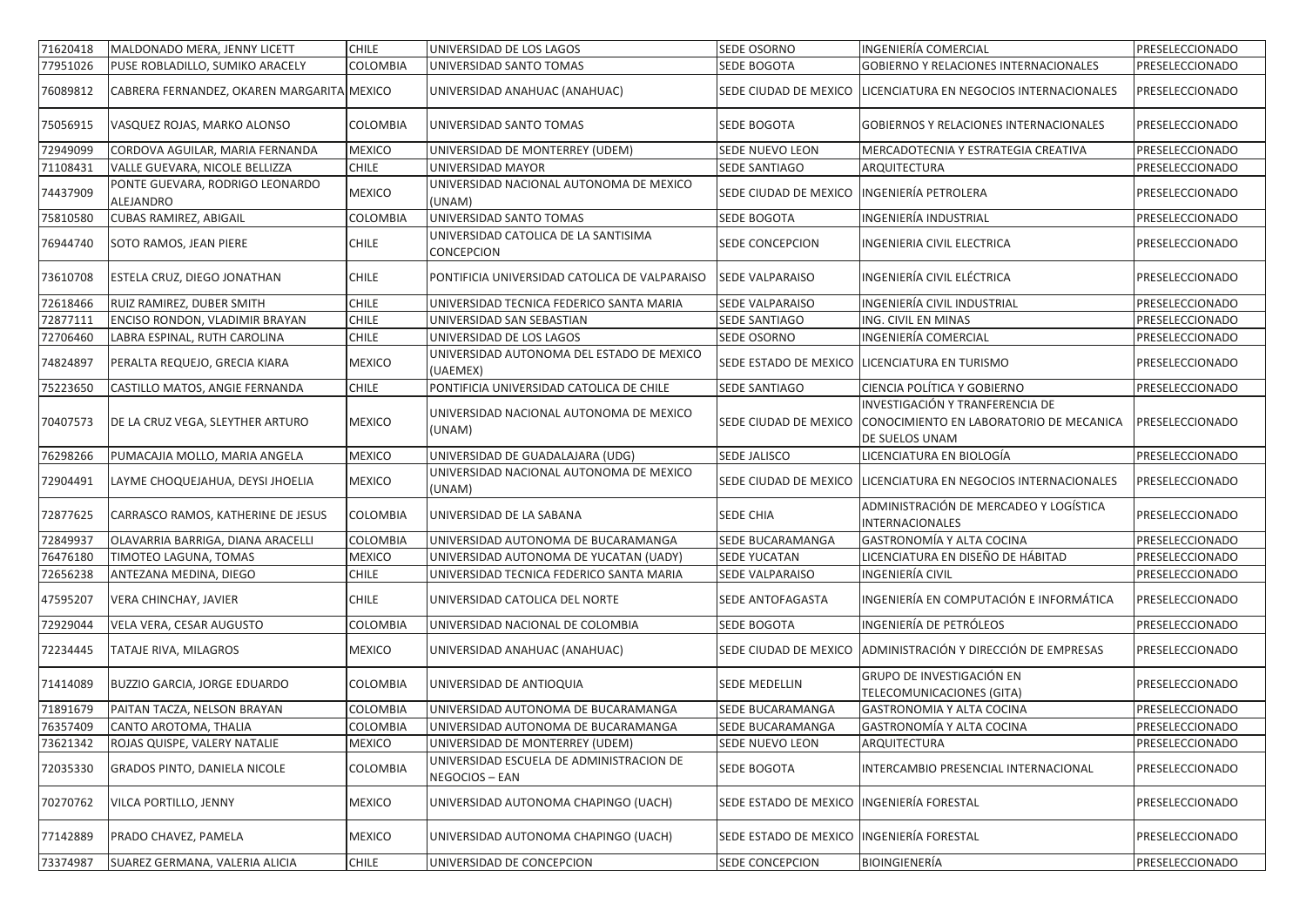| 71620418 | MALDONADO MERA, JENNY LICETT                 | <b>CHILE</b>  | UNIVERSIDAD DE LOS LAGOS                                   | SEDE OSORNO                               | <b>INGENIERÍA COMERCIAL</b>                                                                                        | PRESELECCIONADO |
|----------|----------------------------------------------|---------------|------------------------------------------------------------|-------------------------------------------|--------------------------------------------------------------------------------------------------------------------|-----------------|
| 77951026 | PUSE ROBLADILLO, SUMIKO ARACELY              | COLOMBIA      | UNIVERSIDAD SANTO TOMAS                                    | SEDE BOGOTA                               | GOBIERNO Y RELACIONES INTERNACIONALES                                                                              | PRESELECCIONADO |
| 76089812 | CABRERA FERNANDEZ, OKAREN MARGARITA MEXICO   |               | UNIVERSIDAD ANAHUAC (ANAHUAC)                              |                                           | SEDE CIUDAD DE MEXICO   LICENCIATURA EN NEGOCIOS INTERNACIONALES                                                   | PRESELECCIONADO |
| 75056915 | VASQUEZ ROJAS, MARKO ALONSO                  | COLOMBIA      | UNIVERSIDAD SANTO TOMAS                                    | SEDE BOGOTA                               | GOBIERNOS Y RELACIONES INTERNACIONALES                                                                             | PRESELECCIONADO |
| 72949099 | CORDOVA AGUILAR, MARIA FERNANDA              | <b>MEXICO</b> | UNIVERSIDAD DE MONTERREY (UDEM)                            | SEDE NUEVO LEON                           | MERCADOTECNIA Y ESTRATEGIA CREATIVA                                                                                | PRESELECCIONADO |
| 71108431 | VALLE GUEVARA, NICOLE BELLIZZA               | <b>CHILE</b>  | UNIVERSIDAD MAYOR                                          | <b>SEDE SANTIAGO</b>                      | ARQUITECTURA                                                                                                       | PRESELECCIONADO |
| 74437909 | PONTE GUEVARA, RODRIGO LEONARDO<br>ALEJANDRO | <b>MEXICO</b> | UNIVERSIDAD NACIONAL AUTONOMA DE MEXICO<br>(UNAM)          | SEDE CIUDAD DE MEXICO                     | INGENIERÍA PETROLERA                                                                                               | PRESELECCIONADO |
| 75810580 | <b>CUBAS RAMIREZ, ABIGAIL</b>                | COLOMBIA      | UNIVERSIDAD SANTO TOMAS                                    | SEDE BOGOTA                               | INGENIERÍA INDUSTRIAL                                                                                              | PRESELECCIONADO |
| 76944740 | SOTO RAMOS, JEAN PIERE                       | <b>CHILE</b>  | UNIVERSIDAD CATOLICA DE LA SANTISIMA<br>CONCEPCION         | SEDE CONCEPCION                           | INGENIERIA CIVIL ELECTRICA                                                                                         | PRESELECCIONADO |
| 73610708 | ESTELA CRUZ, DIEGO JONATHAN                  | <b>CHILE</b>  | PONTIFICIA UNIVERSIDAD CATOLICA DE VALPARAISO              | SEDE VALPARAISO                           | INGENIERÍA CIVIL ELÉCTRICA                                                                                         | PRESELECCIONADO |
| 72618466 | RUIZ RAMIREZ, DUBER SMITH                    | <b>CHILE</b>  | UNIVERSIDAD TECNICA FEDERICO SANTA MARIA                   | SEDE VALPARAISO                           | INGENIERÍA CIVIL INDUSTRIAL                                                                                        | PRESELECCIONADO |
| 72877111 | ENCISO RONDON, VLADIMIR BRAYAN               | <b>CHILE</b>  | UNIVERSIDAD SAN SEBASTIAN                                  | SEDE SANTIAGO                             | ING. CIVIL EN MINAS                                                                                                | PRESELECCIONADO |
| 72706460 | LABRA ESPINAL, RUTH CAROLINA                 | <b>CHILE</b>  | UNIVERSIDAD DE LOS LAGOS                                   | <b>SEDE OSORNO</b>                        | INGENIERÍA COMERCIAL                                                                                               | PRESELECCIONADO |
| 74824897 | PERALTA REQUEJO, GRECIA KIARA                | <b>MEXICO</b> | UNIVERSIDAD AUTONOMA DEL ESTADO DE MEXICO<br>(UAEMEX)      |                                           | SEDE ESTADO DE MEXICO LICENCIATURA EN TURISMO                                                                      | PRESELECCIONADO |
| 75223650 | CASTILLO MATOS, ANGIE FERNANDA               | <b>CHILE</b>  | PONTIFICIA UNIVERSIDAD CATOLICA DE CHILE                   | SEDE SANTIAGO                             | CIENCIA POLÍTICA Y GOBIERNO                                                                                        | PRESELECCIONADO |
| 70407573 | DE LA CRUZ VEGA, SLEYTHER ARTURO             | <b>MEXICO</b> | UNIVERSIDAD NACIONAL AUTONOMA DE MEXICO<br>(UNAM)          |                                           | INVESTIGACIÓN Y TRANFERENCIA DE<br>SEDE CIUDAD DE MEXICO CONOCIMIENTO EN LABORATORIO DE MECANICA<br>DE SUELOS UNAM | PRESELECCIONADO |
| 76298266 | PUMACAJIA MOLLO, MARIA ANGELA                | <b>MEXICO</b> | UNIVERSIDAD DE GUADALAJARA (UDG)                           | <b>SEDE JALISCO</b>                       | LICENCIATURA EN BIOLOGÍA                                                                                           | PRESELECCIONADO |
| 72904491 | LAYME CHOQUEJAHUA, DEYSI JHOELIA             | <b>MEXICO</b> | UNIVERSIDAD NACIONAL AUTONOMA DE MEXICO<br>(UNAM)          |                                           | SEDE CIUDAD DE MEXICO   LICENCIATURA EN NEGOCIOS INTERNACIONALES                                                   | PRESELECCIONADO |
| 72877625 | CARRASCO RAMOS, KATHERINE DE JESUS           | COLOMBIA      | UNIVERSIDAD DE LA SABANA                                   | SEDE CHIA                                 | ADMINISTRACIÓN DE MERCADEO Y LOGÍSTICA<br>INTERNACIONALES                                                          | PRESELECCIONADO |
| 72849937 | OLAVARRIA BARRIGA, DIANA ARACELLI            | COLOMBIA      | UNIVERSIDAD AUTONOMA DE BUCARAMANGA                        | <b>SEDE BUCARAMANGA</b>                   | GASTRONOMÍA Y ALTA COCINA                                                                                          | PRESELECCIONADO |
| 76476180 | TIMOTEO LAGUNA, TOMAS                        | <b>MEXICO</b> | UNIVERSIDAD AUTONOMA DE YUCATAN (UADY)                     | <b>SEDE YUCATAN</b>                       | LICENCIATURA EN DISEÑO DE HÁBITAD                                                                                  | PRESELECCIONADO |
| 72656238 | ANTEZANA MEDINA, DIEGO                       | <b>CHILE</b>  | UNIVERSIDAD TECNICA FEDERICO SANTA MARIA                   | SEDE VALPARAISO                           | INGENIERÍA CIVIL                                                                                                   | PRESELECCIONADO |
| 47595207 | VERA CHINCHAY, JAVIER                        | <b>CHILE</b>  | UNIVERSIDAD CATOLICA DEL NORTE                             | SEDE ANTOFAGASTA                          | INGENIERÍA EN COMPUTACIÓN E INFORMÁTICA                                                                            | PRESELECCIONADO |
| 72929044 | VELA VERA, CESAR AUGUSTO                     | COLOMBIA      | UNIVERSIDAD NACIONAL DE COLOMBIA                           | SEDE BOGOTA                               | INGENIERÍA DE PETRÓLEOS                                                                                            | PRESELECCIONADO |
| 72234445 | TATAJE RIVA, MILAGROS                        | <b>MEXICO</b> | UNIVERSIDAD ANAHUAC (ANAHUAC)                              | SEDE CIUDAD DE MEXICO                     | ADMINISTRACIÓN Y DIRECCIÓN DE EMPRESAS                                                                             | PRESELECCIONADO |
| 71414089 | BUZZIO GARCIA, JORGE EDUARDO                 | COLOMBIA      | UNIVERSIDAD DE ANTIOQUIA                                   | SEDE MEDELLIN                             | GRUPO DE INVESTIGACIÓN EN<br>TELECOMUNICACIONES (GITA)                                                             | PRESELECCIONADO |
| 71891679 | PAITAN TACZA, NELSON BRAYAN                  | COLOMBIA      | UNIVERSIDAD AUTONOMA DE BUCARAMANGA                        | SEDE BUCARAMANGA                          | <b>GASTRONOMIA Y ALTA COCINA</b>                                                                                   | PRESELECCIONADO |
| 76357409 | CANTO AROTOMA, THALIA                        | COLOMBIA      | UNIVERSIDAD AUTONOMA DE BUCARAMANGA                        | <b>SEDE BUCARAMANGA</b>                   | GASTRONOMÍA Y ALTA COCINA                                                                                          | PRESELECCIONADO |
| 73621342 | ROJAS QUISPE, VALERY NATALIE                 | <b>MEXICO</b> | UNIVERSIDAD DE MONTERREY (UDEM)                            | SEDE NUEVO LEON                           | ARQUITECTURA                                                                                                       | PRESELECCIONADO |
| 72035330 | GRADOS PINTO, DANIELA NICOLE                 | COLOMBIA      | UNIVERSIDAD ESCUELA DE ADMINISTRACION DE<br>NEGOCIOS - EAN | SEDE BOGOTA                               | INTERCAMBIO PRESENCIAL INTERNACIONAL                                                                               | PRESELECCIONADO |
| 70270762 | VILCA PORTILLO, JENNY                        | <b>MEXICO</b> | UNIVERSIDAD AUTONOMA CHAPINGO (UACH)                       | SEDE ESTADO DE MEXICO INGENIERÍA FORESTAL |                                                                                                                    | PRESELECCIONADO |
| 77142889 | PRADO CHAVEZ, PAMELA                         | <b>MEXICO</b> | UNIVERSIDAD AUTONOMA CHAPINGO (UACH)                       | SEDE ESTADO DE MEXICO INGENIERÍA FORESTAL |                                                                                                                    | PRESELECCIONADO |
| 73374987 | SUAREZ GERMANA, VALERIA ALICIA               | <b>CHILE</b>  | UNIVERSIDAD DE CONCEPCION                                  | SEDE CONCEPCION                           | BIOINGIENERÍA                                                                                                      | PRESELECCIONADO |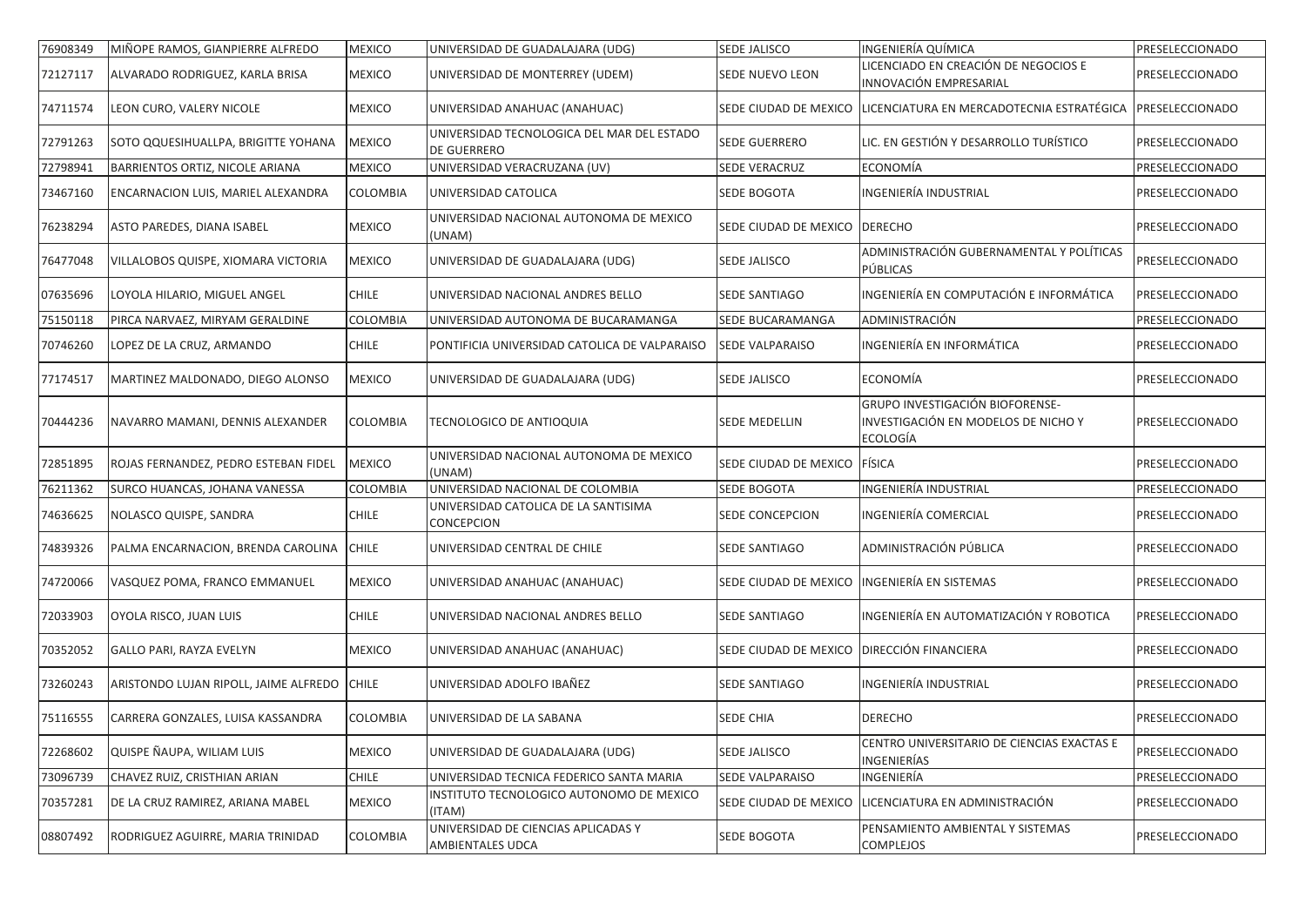| 76908349 | MIÑOPE RAMOS, GIANPIERRE ALFREDO       | <b>MEXICO</b>   | UNIVERSIDAD DE GUADALAJARA (UDG)                          | <b>SEDE JALISCO</b>                        | INGENIERÍA QUÍMICA                                                                 | PRESELECCIONADO |
|----------|----------------------------------------|-----------------|-----------------------------------------------------------|--------------------------------------------|------------------------------------------------------------------------------------|-----------------|
| 72127117 | ALVARADO RODRIGUEZ, KARLA BRISA        | <b>MEXICO</b>   | UNIVERSIDAD DE MONTERREY (UDEM)                           | SEDE NUEVO LEON                            | LICENCIADO EN CREACIÓN DE NEGOCIOS E<br>INNOVACIÓN EMPRESARIAL                     | PRESELECCIONADO |
| 74711574 | LEON CURO, VALERY NICOLE               | <b>MEXICO</b>   | UNIVERSIDAD ANAHUAC (ANAHUAC)                             |                                            | SEDE CIUDAD DE MEXICO   LICENCIATURA EN MERCADOTECNIA ESTRATÉGICA                  | PRESELECCIONADO |
| 72791263 | SOTO QQUESIHUALLPA, BRIGITTE YOHANA    | <b>MEXICO</b>   | UNIVERSIDAD TECNOLOGICA DEL MAR DEL ESTADO<br>DE GUERRERO | SEDE GUERRERO                              | LIC. EN GESTIÓN Y DESARROLLO TURÍSTICO                                             | PRESELECCIONADO |
| 72798941 | <b>BARRIENTOS ORTIZ, NICOLE ARIANA</b> | <b>MEXICO</b>   | UNIVERSIDAD VERACRUZANA (UV)                              | <b>SEDE VERACRUZ</b>                       | ECONOMÍA                                                                           | PRESELECCIONADO |
| 73467160 | ENCARNACION LUIS, MARIEL ALEXANDRA     | <b>COLOMBIA</b> | UNIVERSIDAD CATOLICA                                      | SEDE BOGOTA                                | <b>INGENIERÍA INDUSTRIAL</b>                                                       | PRESELECCIONADO |
| 76238294 | ASTO PAREDES, DIANA ISABEL             | <b>MEXICO</b>   | UNIVERSIDAD NACIONAL AUTONOMA DE MEXICO<br>(UNAM)         | SEDE CIUDAD DE MEXICO   DERECHO            |                                                                                    | PRESELECCIONADO |
| 76477048 | VILLALOBOS QUISPE, XIOMARA VICTORIA    | <b>MEXICO</b>   | UNIVERSIDAD DE GUADALAJARA (UDG)                          | <b>SEDE JALISCO</b>                        | ADMINISTRACIÓN GUBERNAMENTAL Y POLÍTICAS<br>PÚBLICAS                               | PRESELECCIONADO |
| 07635696 | LOYOLA HILARIO, MIGUEL ANGEL           | <b>CHILE</b>    | UNIVERSIDAD NACIONAL ANDRES BELLO                         | SEDE SANTIAGO                              | INGENIERÍA EN COMPUTACIÓN E INFORMÁTICA                                            | PRESELECCIONADO |
| 75150118 | PIRCA NARVAEZ, MIRYAM GERALDINE        | COLOMBIA        | UNIVERSIDAD AUTONOMA DE BUCARAMANGA                       | SEDE BUCARAMANGA                           | ADMINISTRACIÓN                                                                     | PRESELECCIONADO |
| 70746260 | LOPEZ DE LA CRUZ, ARMANDO              | <b>CHILE</b>    | PONTIFICIA UNIVERSIDAD CATOLICA DE VALPARAISO             | <b>SEDE VALPARAISO</b>                     | INGENIERÍA EN INFORMÁTICA                                                          | PRESELECCIONADO |
| 77174517 | MARTINEZ MALDONADO, DIEGO ALONSO       | <b>MEXICO</b>   | UNIVERSIDAD DE GUADALAJARA (UDG)                          | SEDE JALISCO                               | ECONOMÍA                                                                           | PRESELECCIONADO |
| 70444236 | NAVARRO MAMANI, DENNIS ALEXANDER       | <b>COLOMBIA</b> | TECNOLOGICO DE ANTIOQUIA                                  | SEDE MEDELLIN                              | GRUPO INVESTIGACIÓN BIOFORENSE-<br>INVESTIGACIÓN EN MODELOS DE NICHO Y<br>ECOLOGÍA | PRESELECCIONADO |
| 72851895 | ROJAS FERNANDEZ, PEDRO ESTEBAN FIDEL   | <b>MEXICO</b>   | UNIVERSIDAD NACIONAL AUTONOMA DE MEXICO<br>(UNAM)         | SEDE CIUDAD DE MEXICO FÍSICA               |                                                                                    | PRESELECCIONADO |
| 76211362 | SURCO HUANCAS, JOHANA VANESSA          | COLOMBIA        | UNIVERSIDAD NACIONAL DE COLOMBIA                          | SEDE BOGOTA                                | <b>INGENIERÍA INDUSTRIAL</b>                                                       | PRESELECCIONADO |
| 74636625 | NOLASCO QUISPE, SANDRA                 | <b>CHILE</b>    | UNIVERSIDAD CATOLICA DE LA SANTISIMA<br>CONCEPCION        | SEDE CONCEPCION                            | INGENIERÍA COMERCIAL                                                               | PRESELECCIONADO |
| 74839326 | PALMA ENCARNACION, BRENDA CAROLINA     | <b>CHILE</b>    | UNIVERSIDAD CENTRAL DE CHILE                              | SEDE SANTIAGO                              | ADMINISTRACIÓN PÚBLICA                                                             | PRESELECCIONADO |
| 74720066 | VASQUEZ POMA, FRANCO EMMANUEL          | <b>MEXICO</b>   | UNIVERSIDAD ANAHUAC (ANAHUAC)                             | SEDE CIUDAD DE MEXICO                      | <b>INGENIERÍA EN SISTEMAS</b>                                                      | PRESELECCIONADO |
| 72033903 | OYOLA RISCO, JUAN LUIS                 | <b>CHILE</b>    | UNIVERSIDAD NACIONAL ANDRES BELLO                         | SEDE SANTIAGO                              | INGENIERÍA EN AUTOMATIZACIÓN Y ROBOTICA                                            | PRESELECCIONADO |
| 70352052 | GALLO PARI, RAYZA EVELYN               | <b>MEXICO</b>   | UNIVERSIDAD ANAHUAC (ANAHUAC)                             | SEDE CIUDAD DE MEXICO DIRECCIÓN FINANCIERA |                                                                                    | PRESELECCIONADO |
| 73260243 | ARISTONDO LUJAN RIPOLL, JAIME ALFREDO  | <b>CHILE</b>    | UNIVERSIDAD ADOLFO IBAÑEZ                                 | <b>SEDE SANTIAGO</b>                       | <b>INGENIERÍA INDUSTRIAL</b>                                                       | PRESELECCIONADO |
| 75116555 | CARRERA GONZALES, LUISA KASSANDRA      | COLOMBIA        | UNIVERSIDAD DE LA SABANA                                  | SEDE CHIA                                  | <b>DERECHO</b>                                                                     | PRESELECCIONADO |
| 72268602 | QUISPE ÑAUPA, WILIAM LUIS              | <b>MEXICO</b>   | UNIVERSIDAD DE GUADALAJARA (UDG)                          | SEDE JALISCO                               | CENTRO UNIVERSITARIO DE CIENCIAS EXACTAS E<br><b>INGENIERÍAS</b>                   | PRESELECCIONADO |
| 73096739 | CHAVEZ RUIZ, CRISTHIAN ARIAN           | <b>CHILE</b>    | UNIVERSIDAD TECNICA FEDERICO SANTA MARIA                  | <b>SEDE VALPARAISO</b>                     | INGENIERÍA                                                                         | PRESELECCIONADO |
| 70357281 | DE LA CRUZ RAMIREZ, ARIANA MABEL       | <b>MEXICO</b>   | INSTITUTO TECNOLOGICO AUTONOMO DE MEXICO<br>(ITAM)        |                                            | SEDE CIUDAD DE MEXICO LICENCIATURA EN ADMINISTRACIÓN                               | PRESELECCIONADO |
| 08807492 | RODRIGUEZ AGUIRRE, MARIA TRINIDAD      | COLOMBIA        | UNIVERSIDAD DE CIENCIAS APLICADAS Y<br>AMBIENTALES UDCA   | SEDE BOGOTA                                | PENSAMIENTO AMBIENTAL Y SISTEMAS<br>COMPLEJOS                                      | PRESELECCIONADO |